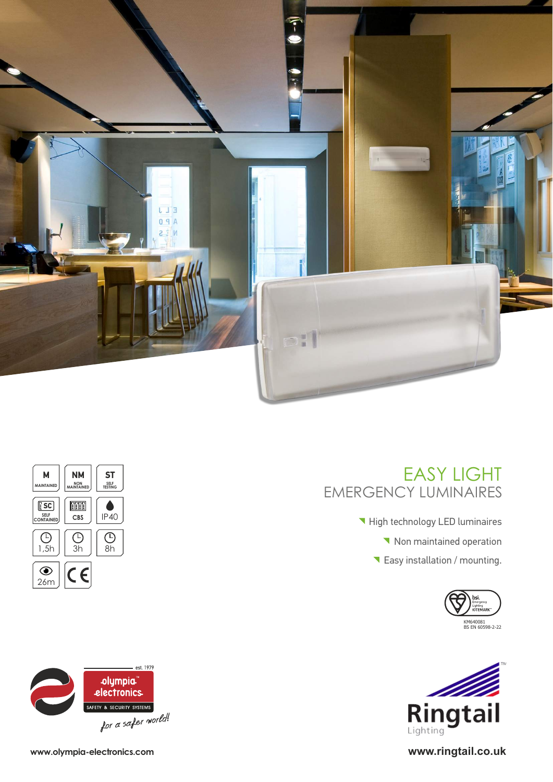





Easy installation / mounting.



**High technology LED luminaires** 

EMERGENCY LUMINAIRES

Non maintained operation

EASY LIGHT